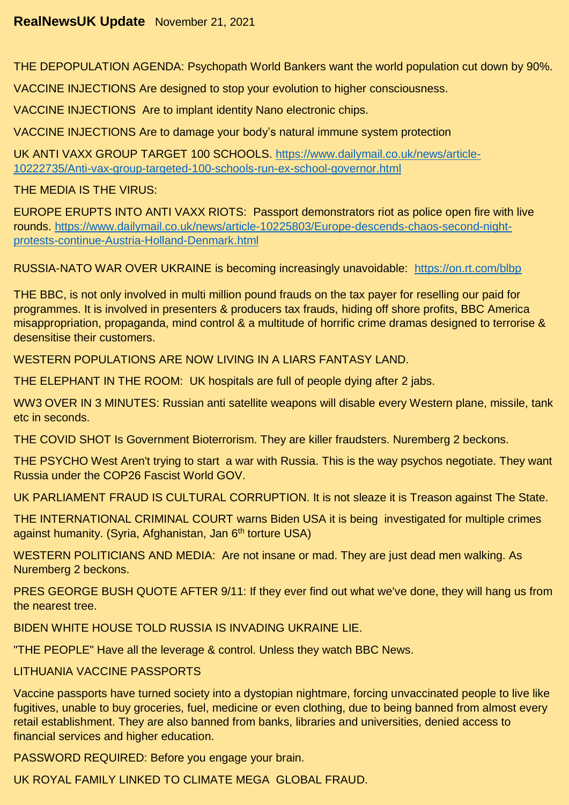THE DEPOPULATION AGENDA: Psychopath World Bankers want the world population cut down by 90%.

VACCINE INJECTIONS Are designed to stop your evolution to higher consciousness.

VACCINE INJECTIONS Are to implant identity Nano electronic chips.

VACCINE INJECTIONS Are to damage your body's natural immune system protection

UK ANTI VAXX GROUP TARGET 100 SCHOOLS. [https://www.dailymail.co.uk/news/article-](https://www.dailymail.co.uk/news/article-10222735/Anti-vax-group-targeted-100-schools-run-ex-school-governor.html)[10222735/Anti-vax-group-targeted-100-schools-run-ex-school-governor.html](https://www.dailymail.co.uk/news/article-10222735/Anti-vax-group-targeted-100-schools-run-ex-school-governor.html)

THE MEDIA IS THE VIRUS:

EUROPE ERUPTS INTO ANTI VAXX RIOTS: Passport demonstrators riot as police open fire with live rounds. [https://www.dailymail.co.uk/news/article-10225803/Europe-descends-chaos-second-night](https://www.dailymail.co.uk/news/article-10225803/Europe-descends-chaos-second-night-protests-continue-Austria-Holland-Denmark.html)[protests-continue-Austria-Holland-Denmark.html](https://www.dailymail.co.uk/news/article-10225803/Europe-descends-chaos-second-night-protests-continue-Austria-Holland-Denmark.html)

RUSSIA-NATO WAR OVER UKRAINE is becoming increasingly unavoidable: <https://on.rt.com/blbp>

THE BBC, is not only involved in multi million pound frauds on the tax payer for reselling our paid for programmes. It is involved in presenters & producers tax frauds, hiding off shore profits, BBC America misappropriation, propaganda, mind control & a multitude of horrific crime dramas designed to terrorise & desensitise their customers.

WESTERN POPULATIONS ARE NOW LIVING IN A LIARS FANTASY LAND.

THE ELEPHANT IN THE ROOM: UK hospitals are full of people dying after 2 jabs.

WW3 OVER IN 3 MINUTES: Russian anti satellite weapons will disable every Western plane, missile, tank etc in seconds.

THE COVID SHOT Is Government Bioterrorism. They are killer fraudsters. Nuremberg 2 beckons.

THE PSYCHO West Aren't trying to start a war with Russia. This is the way psychos negotiate. They want Russia under the COP26 Fascist World GOV.

UK PARLIAMENT FRAUD IS CULTURAL CORRUPTION. It is not sleaze it is Treason against The State.

THE INTERNATIONAL CRIMINAL COURT warns Biden USA it is being investigated for multiple crimes against humanity. (Syria, Afghanistan, Jan 6<sup>th</sup> torture USA)

WESTERN POLITICIANS AND MEDIA: Are not insane or mad. They are just dead men walking. As Nuremberg 2 beckons.

PRES GEORGE BUSH QUOTE AFTER 9/11: If they ever find out what we've done, they will hang us from the nearest tree.

BIDEN WHITE HOUSE TOLD RUSSIA IS INVADING UKRAINE LIE.

"THE PEOPLE" Have all the leverage & control. Unless they watch BBC News.

LITHUANIA VACCINE PASSPORTS

Vaccine passports have turned society into a dystopian nightmare, forcing unvaccinated people to live like fugitives, unable to buy groceries, fuel, medicine or even clothing, due to being banned from almost every retail establishment. They are also banned from banks, libraries and universities, denied access to financial services and higher education.

PASSWORD REQUIRED: Before you engage your brain.

UK ROYAL FAMILY LINKED TO CLIMATE MEGA GLOBAL FRAUD.